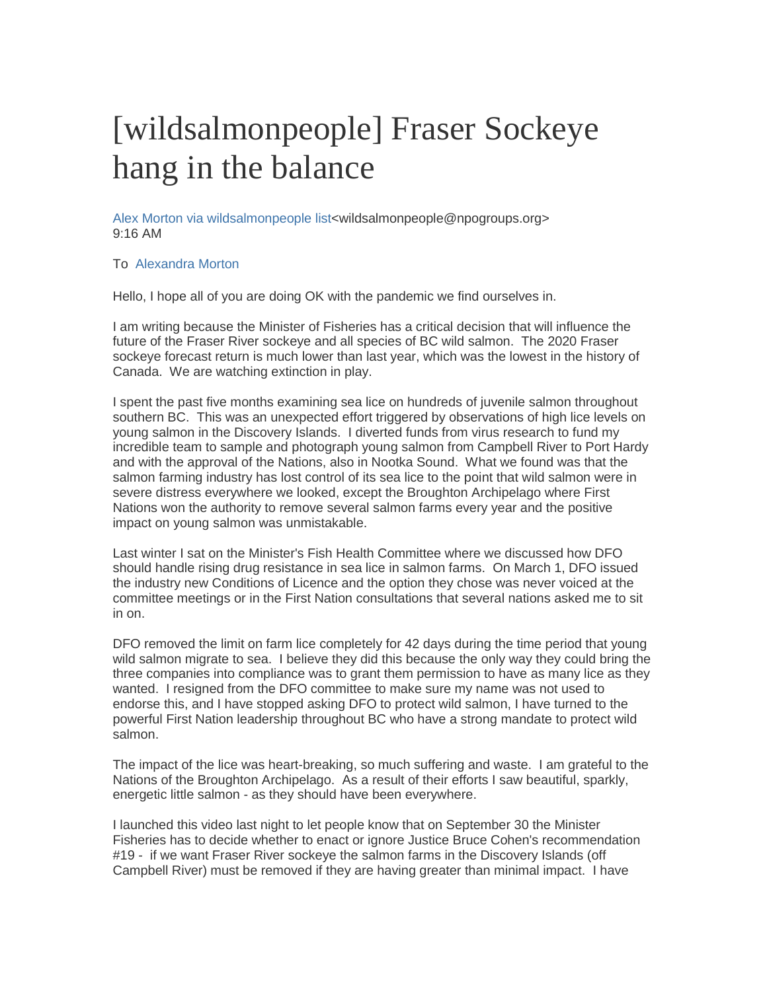## [wildsalmonpeople] Fraser Sockeye hang in the balance

[Alex Morton via wildsalmonpeople list<](https://webmail.hostway.com/appsuite/)wildsalmonpeople@npogroups.org> 9:16 AM

## To [Alexandra Morton](https://webmail.hostway.com/appsuite/)

Hello, I hope all of you are doing OK with the pandemic we find ourselves in.

I am writing because the Minister of Fisheries has a critical decision that will influence the future of the Fraser River sockeye and all species of BC wild salmon. The 2020 Fraser sockeye forecast return is much lower than last year, which was the lowest in the history of Canada. We are watching extinction in play.

I spent the past five months examining sea lice on hundreds of juvenile salmon throughout southern BC. This was an unexpected effort triggered by observations of high lice levels on young salmon in the Discovery Islands. I diverted funds from virus research to fund my incredible team to sample and photograph young salmon from Campbell River to Port Hardy and with the approval of the Nations, also in Nootka Sound. What we found was that the salmon farming industry has lost control of its sea lice to the point that wild salmon were in severe distress everywhere we looked, except the Broughton Archipelago where First Nations won the authority to remove several salmon farms every year and the positive impact on young salmon was unmistakable.

Last winter I sat on the Minister's Fish Health Committee where we discussed how DFO should handle rising drug resistance in sea lice in salmon farms. On March 1, DFO issued the industry new Conditions of Licence and the option they chose was never voiced at the committee meetings or in the First Nation consultations that several nations asked me to sit in on.

DFO removed the limit on farm lice completely for 42 days during the time period that young wild salmon migrate to sea. I believe they did this because the only way they could bring the three companies into compliance was to grant them permission to have as many lice as they wanted. I resigned from the DFO committee to make sure my name was not used to endorse this, and I have stopped asking DFO to protect wild salmon, I have turned to the powerful First Nation leadership throughout BC who have a strong mandate to protect wild salmon.

The impact of the lice was heart-breaking, so much suffering and waste. I am grateful to the Nations of the Broughton Archipelago. As a result of their efforts I saw beautiful, sparkly, energetic little salmon - as they should have been everywhere.

I launched this video last night to let people know that on September 30 the Minister Fisheries has to decide whether to enact or ignore Justice Bruce Cohen's recommendation #19 - if we want Fraser River sockeye the salmon farms in the Discovery Islands (off Campbell River) must be removed if they are having greater than minimal impact. I have